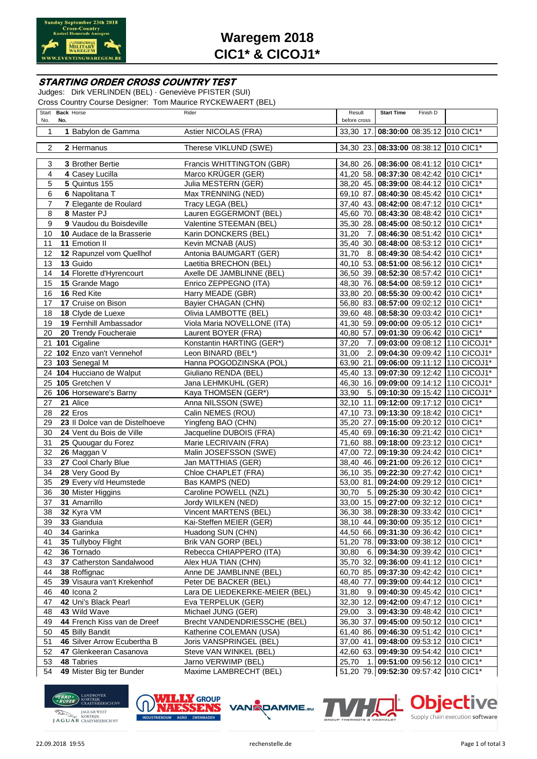

# **Waregem 2018 CIC1\* & CICOJ1\***

### **STARTING ORDER CROSS COUNTRY TEST**

Judges: Dirk VERLINDEN (BEL) · Geneviève PFISTER (SUI) Cross Country Course Designer: Tom Maurice RYCKEWAERT (BEL)

| No.            | Start Back Horse<br>No.                     | Rider                                          | Result<br>before cross | <b>Start Time</b> | Finish D |                                                                                |
|----------------|---------------------------------------------|------------------------------------------------|------------------------|-------------------|----------|--------------------------------------------------------------------------------|
|                |                                             |                                                |                        |                   |          |                                                                                |
| 1              | 1 Babylon de Gamma                          | Astier NICOLAS (FRA)                           |                        |                   |          | 33,30 17. 08:30:00 08:35:12 010 CIC1*                                          |
| 2              | 2 Hermanus                                  | Therese VIKLUND (SWE)                          |                        |                   |          | 34,30 23. 08:33:00 08:38:12 010 CIC1*                                          |
|                |                                             |                                                |                        |                   |          |                                                                                |
| 3              | 3 Brother Bertie                            | Francis WHITTINGTON (GBR)                      |                        |                   |          | 34,80 26. 08:36:00 08:41:12 010 CIC1*                                          |
| 4              | 4 Casey Lucilla                             | Marco KRÜGER (GER)                             |                        |                   |          | 41,20 58. 08:37:30 08:42:42 010 CIC1*                                          |
| 5              | 5 Quintus 155                               | Julia MESTERN (GER)                            |                        |                   |          | 38,20 45. 08:39:00 08:44:12 010 CIC1*                                          |
| 6              | 6 Napolitana T                              | Max TRENNING (NED)                             |                        |                   |          | 69,10 87. 08:40:30 08:45:42 010 CIC1*                                          |
| $\overline{7}$ | 7 Elegante de Roulard                       | Tracy LEGA (BEL)                               |                        |                   |          | 37,40 43. 08:42:00 08:47:12 010 CIC1*                                          |
| 8              | 8 Master PJ                                 | Lauren EGGERMONT (BEL)                         |                        |                   |          | 45,60 70. 08:43:30 08:48:42 010 CIC1*                                          |
| 9              | 9 Vaudou du Boisdeville                     | Valentine STEEMAN (BEL)                        |                        |                   |          | 35,30 28. 08:45:00 08:50:12 010 CIC1*                                          |
| 10             | 10 Audace de la Brasserie                   | Karin DONCKERS (BEL)                           | 31,20                  |                   |          | 7. 08:46:30 08:51:42 010 CIC1*                                                 |
| 11             | 11 Emotion II                               | Kevin MCNAB (AUS)                              |                        |                   |          | 35,40 30. 08:48:00 08:53:12 010 CIC1*                                          |
| 12             | 12 Rapunzel vom Quellhof                    | Antonia BAUMGART (GER)                         |                        |                   |          | 31,70 8. 08:49:30 08:54:42 010 CIC1*                                           |
| 13             | 13 Guido                                    | Laetitia BRECHON (BEL)                         |                        |                   |          | 40,10 53. 08:51:00 08:56:12 010 CIC1*                                          |
| 14             | 14 Florette d'Hyrencourt                    | Axelle DE JAMBLINNE (BEL)                      |                        |                   |          | 36,50 39. 08:52:30 08:57:42 010 CIC1*                                          |
| 15             | 15 Grande Mago                              | Enrico ZEPPEGNO (ITA)                          |                        |                   |          | 48,30 76. 08:54:00 08:59:12 010 CIC1*                                          |
| 16             | 16 Red Kite                                 | Harry MEADE (GBR)                              |                        |                   |          | 33,80 20. 08:55:30 09:00:42 010 CIC1*                                          |
| 17             | 17 Cruise on Bison                          | Bayier CHAGAN (CHN)                            |                        |                   |          | 56,80 83. 08:57:00 09:02:12 010 CIC1*                                          |
| 18             | 18 Clyde de Luexe                           | Olivia LAMBOTTE (BEL)                          |                        |                   |          | 39,60 48. 08:58:30 09:03:42 010 CIC1*                                          |
| 19             | 19 Fernhill Ambassador                      | Viola Maria NOVELLONE (ITA)                    |                        |                   |          | 41,30 59. 09:00:00 09:05:12 010 CIC1*                                          |
| 20             | 20 Trendy Foucheraie                        | Laurent BOYER (FRA)                            |                        |                   |          | 40,80 57. 09:01:30 09:06:42 010 CIC1*                                          |
|                | 21 101 Cigaline                             | Konstantin HARTING (GER*)                      | 37,20                  |                   |          | 7. 09:03:00 09:08:12 110 CICOJ1*                                               |
|                | 22 102 Enzo van't Vennehof                  | Leon BINARD (BEL*)                             | 31,00                  |                   |          | 2. 09:04:30 09:09:42 110 CICOJ1*                                               |
|                | 23 103 Senegal M                            | Hanna POGODZINSKA (POL)                        |                        |                   |          | 63,90 21. 09:06:00 09:11:12 110 CICOJ1*                                        |
|                | 24 104 Hucciano de Walput                   | Giuliano RENDA (BEL)                           |                        |                   |          | 45,40 13. 09:07:30 09:12:42 110 CICOJ1*                                        |
|                | 25 105 Gretchen V                           | Jana LEHMKUHL (GER)                            |                        |                   |          | 46,30 16. 09:09:00 09:14:12 110 CICOJ1*                                        |
|                | 26 106 Horseware's Barny                    | Kaya THOMSEN (GER*)                            | 33,90                  |                   |          | 5. 09:10:30 09:15:42 110 CICOJ1*                                               |
| 27             | 21 Alice                                    | Anna NILSSON (SWE)                             |                        |                   |          | 32,10 11. 09:12:00 09:17:12 010 CIC1*                                          |
| 28             | 22 Eros                                     | Calin NEMES (ROU)                              |                        |                   |          | 47,10 73. 09:13:30 09:18:42 010 CIC1*                                          |
| 29             | 23 Il Dolce van de Distelhoeve              | Yingfeng BAO (CHN)                             |                        |                   |          | 35,20 27. 09:15:00 09:20:12 010 CIC1*                                          |
| 30             | 24 Vent du Bois de Ville                    | Jacqueline DUBOIS (FRA)                        |                        |                   |          | 45,40 69. 09:16:30 09:21:42 010 CIC1*                                          |
| 31             | 25 Quougar du Forez                         | Marie LECRIVAIN (FRA)                          |                        |                   |          | 71,60 88. 09:18:00 09:23:12 010 CIC1*                                          |
| 32             | 26 Maggan V                                 | Malin JOSEFSSON (SWE)                          |                        |                   |          | 47,00 72. 09:19:30 09:24:42 010 CIC1*                                          |
| 33             | 27 Cool Charly Blue                         | Jan MATTHIAS (GER)                             |                        |                   |          | 38,40 46. 09:21:00 09:26:12 010 CIC1*                                          |
| 34             | 28 Very Good By                             | Chloe CHAPLET (FRA)                            |                        |                   |          | 36,10 35. 09:22:30 09:27:42 010 CIC1*                                          |
| 35             | 29 Every v/d Heumstede                      | Bas KAMPS (NED)                                |                        |                   |          | 53,00 81. 09:24:00 09:29:12 010 CIC1*                                          |
| 36             | 30 Mister Higgins                           | Caroline POWELL (NZL)                          |                        |                   |          | 30,70 5. 09:25:30 09:30:42 010 CIC1*                                           |
| 37             | 31 Amarrillo                                | Jordy WILKEN (NED)                             |                        |                   |          | 33,00 15. 09:27:00 09:32:12 010 CIC1*                                          |
| 38             | 32 Kyra VM                                  | Vincent MARTENS (BEL)                          |                        |                   |          | 36,30 38. 09:28:30 09:33:42 010 CIC1*                                          |
| 39             | 33 Gianduia                                 | Kai-Steffen MEIER (GER)                        |                        |                   |          | 38,10 44. 09:30:00 09:35:12 010 CIC1*                                          |
| 40             | 34 Garinka                                  | Huadong SUN (CHN)                              |                        |                   |          | 44,50 66. 09:31:30 09:36:42 010 CIC1*                                          |
| 41             | 35 Tullyboy Flight<br>36 Tornado            | Brik VAN GORP (BEL)                            |                        |                   |          | 51,20 78. 09:33:00 09:38:12 010 CIC1*                                          |
| 42             |                                             | Rebecca CHIAPPERO (ITA)                        |                        |                   |          | 30,80 6. 09:34:30 09:39:42 010 CIC1*                                           |
| 43<br>44       | 37 Catherston Sandalwood<br>38 Roffignac    | Alex HUA TIAN (CHN)<br>Anne DE JAMBLINNE (BEL) |                        |                   |          | 35,70 32. 09:36:00 09:41:12 010 CIC1*                                          |
|                |                                             |                                                |                        |                   |          | 60,70 85. 09:37:30 09:42:42 010 CIC1*                                          |
| 45             | 39 Visaura van't Krekenhof                  | Peter DE BACKER (BEL)                          | 48,40 77.              |                   |          | 09:39:00 09:44:12 010 CIC1*                                                    |
| 46             | <b>40 Icona 2</b>                           | Lara DE LIEDEKERKE-MEIER (BEL)                 | 31,80                  |                   |          | 9. 09:40:30 09:45:42 010 CIC1*                                                 |
| 47             | 42 Uni's Black Pearl                        | Eva TERPELUK (GER)                             |                        |                   |          | 32,30 12. 09:42:00 09:47:12 010 CIC1*                                          |
| 48             | 43 Wild Wave<br>44 French Kiss van de Dreef | Michael JUNG (GER)                             | 29,00                  |                   |          | 3. 09:43:30 09:48:42 010 CIC1*                                                 |
| 49<br>50       | 45 Billy Bandit                             | Brecht VANDENDRIESSCHE (BEL)                   |                        |                   |          | 36,30 37. 09:45:00 09:50:12 010 CIC1*<br>61,40 86. 09:46:30 09:51:42 010 CIC1* |
| 51             | 46 Silver Arrow Ecubertha B                 | Katherine COLEMAN (USA)                        |                        |                   |          | 37,00 41. 09:48:00 09:53:12 010 CIC1*                                          |
| 52             | 47 Glenkeeran Casanova                      | Joris VANSPRINGEL (BEL)                        |                        |                   |          | 42,60 63. 09:49:30 09:54:42 010 CIC1*                                          |
| 53             | 48 Tabries                                  | Steve VAN WINKEL (BEL)<br>Jarno VERWIMP (BEL)  |                        |                   |          | 25,70 1. 09:51:00 09:56:12 010 CIC1*                                           |
| 54             | 49 Mister Big ter Bunder                    | Maxime LAMBRECHT (BEL)                         |                        |                   |          | 51,20 79. 09:52:30 09:57:42 010 CIC1*                                          |
|                |                                             |                                                |                        |                   |          |                                                                                |





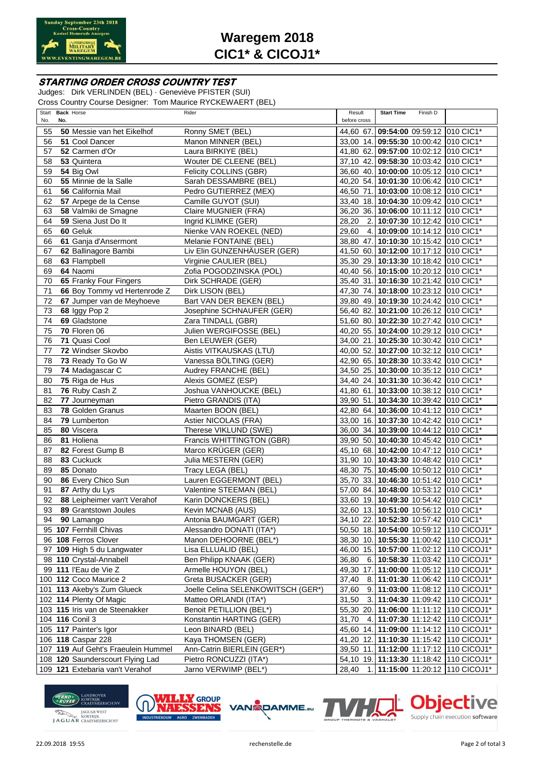

# **Waregem 2018 CIC1\* & CICOJ1\***

### **STARTING ORDER CROSS COUNTRY TEST**

Judges: Dirk VERLINDEN (BEL) · Geneviève PFISTER (SUI) Cross Country Course Designer: Tom Maurice RYCKEWAERT (BEL)

| Start<br><b>Back Horse</b>              |                              | Rider                              | Result       | <b>Start Time</b> | Finish D |                                         |
|-----------------------------------------|------------------------------|------------------------------------|--------------|-------------------|----------|-----------------------------------------|
| No.<br>No.                              |                              |                                    | before cross |                   |          |                                         |
| 55<br><b>50</b> Messie van het Eikelhof |                              | Ronny SMET (BEL)                   |              |                   |          | 44,60 67. 09:54:00 09:59:12 010 CIC1*   |
| 56<br>51 Cool Dancer                    |                              | Manon MINNER (BEL)                 |              |                   |          | 33,00 14. 09:55:30 10:00:42 010 CIC1*   |
| 57<br>52 Carmen d'Or                    |                              | Laura BIRKIYE (BEL)                |              |                   |          | 41,80 62. 09:57:00 10:02:12 010 CIC1*   |
| 58<br>53 Quintera                       |                              | Wouter DE CLEENE (BEL)             |              |                   |          | 37,10 42. 09:58:30 10:03:42 010 CIC1*   |
| 59<br>54 Big Owl                        |                              | Felicity COLLINS (GBR)             |              |                   |          | 36,60 40. 10:00:00 10:05:12 010 CIC1*   |
| 55 Minnie de la Salle<br>60             |                              | Sarah DESSAMBRE (BEL)              |              |                   |          | 40,20 54. 10:01:30 10:06:42 010 CIC1*   |
| 61<br>56 California Mail                |                              | Pedro GUTIERREZ (MEX)              |              |                   |          | 46,50 71. 10:03:00 10:08:12 010 CIC1*   |
| 57 Arpege de la Cense<br>62             |                              | Camille GUYOT (SUI)                |              |                   |          | 33,40 18. 10:04:30 10:09:42 010 CIC1*   |
| 63<br>58 Valmiki de Smagne              |                              | Claire MUGNIER (FRA)               |              |                   |          | 36,20 36. 10:06:00 10:11:12 010 CIC1*   |
| 59 Siena Just Do It<br>64               |                              | Ingrid KLIMKE (GER)                | 28.20        |                   |          | 2. 10:07:30 10:12:42 010 CIC1*          |
| 60 Geluk<br>65                          |                              | Nienke VAN ROEKEL (NED)            | 29,60        |                   |          | 4. 10:09:00 10:14:12 010 CIC1*          |
| 61 Ganja d'Ansermont<br>66              |                              | Melanie FONTAINE (BEL)             |              |                   |          | 38,80 47. 10:10:30 10:15:42 010 CIC1*   |
| 62 Ballinagore Bambi<br>67              |                              | Liv Elin GUNZENHÄUSER (GER)        |              |                   |          | 41,50 60. 10:12:00 10:17:12 010 CIC1*   |
| 68<br>63 Flampbell                      |                              | Virginie CAULIER (BEL)             |              |                   |          | 35,30 29. 10:13:30 10:18:42 010 CIC1*   |
| 69<br>64 Naomi                          |                              | Zofia POGODZINSKA (POL)            |              |                   |          | 40,40 56. 10:15:00 10:20:12 010 CIC1*   |
| 65 Franky Four Fingers<br>70            |                              | Dirk SCHRADE (GER)                 |              |                   |          | 35,40 31. 10:16:30 10:21:42 010 CIC1*   |
| 71                                      | 66 Boy Tommy vd Hertenrode Z | Dirk LISON (BEL)                   |              |                   |          | 47,30 74. 10:18:00 10:23:12 010 CIC1*   |
| 72                                      | 67 Jumper van de Meyhoeve    | Bart VAN DER BEKEN (BEL)           |              |                   |          | 39,80 49. 10:19:30 10:24:42 010 CIC1*   |
| 73<br>68 Iggy Pop 2                     |                              | Josephine SCHNAUFER (GER)          |              |                   |          | 56,40 82. 10:21:00 10:26:12 010 CIC1*   |
| 74<br>69 Gladstone                      |                              | Zara TINDALL (GBR)                 |              |                   |          | 51,60 80. 10:22:30 10:27:42 010 CIC1*   |
| 70 Floren 06<br>75                      |                              | Julien WERGIFOSSE (BEL)            |              |                   |          | 40,20 55. 10:24:00 10:29:12 010 CIC1*   |
| 71 Quasi Cool<br>76                     |                              | Ben LEUWER (GER)                   |              |                   |          | 34,00 21. 10:25:30 10:30:42 010 CIC1*   |
| 77<br>72 Windser Skovbo                 |                              | Aistis VITKAUSKAS (LTU)            |              |                   |          | 40,00 52. 10:27:00 10:32:12 010 CIC1*   |
| 73 Ready To Go W<br>78                  |                              | Vanessa BÖLTING (GER)              |              |                   |          | 42,90 65. 10:28:30 10:33:42 010 CIC1*   |
| 74 Madagascar C<br>79                   |                              | Audrey FRANCHE (BEL)               |              |                   |          | 34,50 25. 10:30:00 10:35:12 010 CIC1*   |
| 80<br>75 Riga de Hus                    |                              | Alexis GOMEZ (ESP)                 |              |                   |          | 34,40 24. 10:31:30 10:36:42 010 CIC1*   |
| 81<br>76 Ruby Cash Z                    |                              | Joshua VANHOUCKE (BEL)             |              |                   |          | 41,80 61. 10:33:00 10:38:12 010 CIC1*   |
| 82<br>77 Journeyman                     |                              | Pietro GRANDIS (ITA)               |              |                   |          | 39,90 51. 10:34:30 10:39:42 010 CIC1*   |
| 78 Golden Granus<br>83                  |                              | Maarten BOON (BEL)                 |              |                   |          | 42,80 64. 10:36:00 10:41:12 010 CIC1*   |
| 84<br>79 Lumberton                      |                              | Astier NICOLAS (FRA)               |              |                   |          | 33,00 16. 10:37:30 10:42:42 010 CIC1*   |
| 80 Viscera<br>85                        |                              | Therese VIKLUND (SWE)              |              |                   |          | 36,00 34. 10:39:00 10:44:12 010 CIC1*   |
| 86<br>81 Holiena                        |                              | Francis WHITTINGTON (GBR)          |              |                   |          | 39,90 50. 10:40:30 10:45:42 010 CIC1*   |
| 87<br>82 Forest Gump B                  |                              | Marco KRÜGER (GER)                 |              |                   |          | 45,10 68. 10:42:00 10:47:12 010 CIC1*   |
| 83 Cuckuck<br>88                        |                              | Julia MESTERN (GER)                |              |                   |          | 31,90 10. 10:43:30 10:48:42 010 CIC1*   |
| 89<br>85 Donato                         |                              | Tracy LEGA (BEL)                   |              |                   |          | 48,30 75. 10:45:00 10:50:12 010 CIC1*   |
| 90<br>86 Every Chico Sun                |                              | Lauren EGGERMONT (BEL)             |              |                   |          | 35,70 33. 10:46:30 10:51:42 010 CIC1*   |
| 87 Arthy du Lys<br>91                   |                              | Valentine STEEMAN (BEL)            |              |                   |          | 57,00 84. 10:48:00 10:53:12 010 CIC1*   |
| 92                                      | 88 Leipheimer van't Verahof  | Karin DONCKERS (BEL)               |              |                   |          | 33,60 19. 10:49:30 10:54:42 010 CIC1*   |
| 93<br>89 Grantstown Joules              |                              | Kevin MCNAB (AUS)                  |              |                   |          | 32,60 13. 10:51:00 10:56:12 010 CIC1*   |
| 94 90 Lamango                           |                              | Antonia BAUMGART (GER)             |              |                   |          | 34,10 22. 10:52:30 10:57:42 010 CIC1*   |
| 95 107 Fernhill Chivas                  |                              | Alessandro DONATI (ITA*)           |              |                   |          | 50,50 18. 10:54:00 10:59:12 110 CICOJ1* |
| 96 108 Ferros Clover                    |                              | Manon DEHOORNE (BEL*)              |              |                   |          | 38,30 10. 10:55:30 11:00:42 110 CICOJ1* |
| 97 109 High 5 du Langwater              |                              | Lisa ELLUALID (BEL)                |              |                   |          | 46,00 15. 10:57:00 11:02:12 110 CICOJ1* |
| 98 110 Crystal-Annabell                 |                              | Ben Philipp KNAAK (GER)            | 36,80        |                   |          | 6. 10:58:30 11:03:42 110 CICOJ1*        |
| 99 111 l'Eau de Vie Z                   |                              | Armelle HOUYON (BEL)               |              |                   |          | 49,30 17. 11:00:00 11:05:12 110 CICOJ1* |
| 100 112 Coco Maurice 2                  |                              | Greta BUSACKER (GER)               | 37,40        |                   |          | 8. 11:01:30 11:06:42 110 CICOJ1*        |
| 101 113 Akeby's Zum Glueck              |                              | Joelle Celina SELENKOWITSCH (GER*) | 37,60        |                   |          | 9. 11:03:00 11:08:12 110 CICOJ1*        |
| 102 114 Plenty Of Magic                 |                              | Matteo ORLANDI (ITA*)              | 31,50        |                   |          | 3. 11:04:30 11:09:42 110 CICOJ1*        |
| 103 115 Iris van de Steenakker          |                              | Benoit PETILLION (BEL*)            |              |                   |          | 55,30 20. 11:06:00 11:11:12 110 CICOJ1* |
| 104 116 Conil 3                         |                              | Konstantin HARTING (GER)           | 31,70        |                   |          | 4. 11:07:30 11:12:42 110 CICOJ1*        |
| 105 117 Painter's Igor                  |                              | Leon BINARD (BEL)                  |              |                   |          | 45,60 14. 11:09:00 11:14:12 110 CICOJ1* |
| 106 118 Caspar 228                      |                              | Kaya THOMSEN (GER)                 |              |                   |          | 41,20 12. 11:10:30 11:15:42 110 CICOJ1* |
| 107 119 Auf Geht's Fraeulein Hummel     |                              | Ann-Catrin BIERLEIN (GER*)         |              |                   |          | 39,50 11. 11:12:00 11:17:12 110 CICOJ1* |
| 108 120 Saunderscourt Flying Lad        |                              | Pietro RONCUZZI (ITA*)             |              |                   |          | 54,10 19. 11:13:30 11:18:42 110 CICOJ1* |
| 109 121 Extebaria van't Verahof         |                              | Jarno VERWIMP (BEL*)               | 28,40        |                   |          | 1. 11:15:00 11:20:12 110 CICOJ1*        |